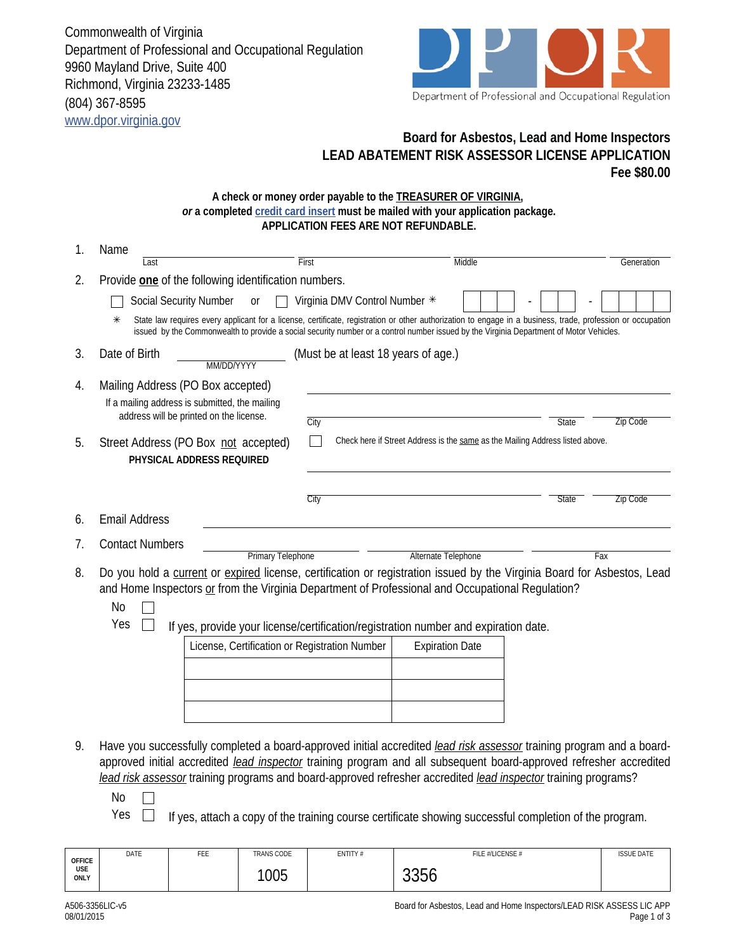Commonwealth of Virginia Department of Professional and Occupational Regulation 9960 Mayland Drive, Suite 400 Richmond, Virginia 23233-1485 (804) 367-8595 www.dpor.virginia.gov



## **Board for Asbestos, Lead and Home Inspectors LEAD ABATEMENT RISK ASSESSOR LICENSE APPLICATION Fee \$80.00**

## **A check or money order payable to the TREASURER OF VIRGINIA,**  *or* **a completed credit card insert must be mailed with your application package. APPLICATION FEES ARE NOT REFUNDABLE.**

| 1. | Name                                                                                                                                                                                                                                                                                                                                   |                                     |                     |              |                 |  |  |  |  |
|----|----------------------------------------------------------------------------------------------------------------------------------------------------------------------------------------------------------------------------------------------------------------------------------------------------------------------------------------|-------------------------------------|---------------------|--------------|-----------------|--|--|--|--|
|    | Last                                                                                                                                                                                                                                                                                                                                   | First                               | Middle              |              | Generation      |  |  |  |  |
| 2. | Provide one of the following identification numbers.                                                                                                                                                                                                                                                                                   |                                     |                     |              |                 |  |  |  |  |
|    | <b>Social Security Number</b><br><sub>0r</sub>                                                                                                                                                                                                                                                                                         | Virginia DMV Control Number *       |                     |              |                 |  |  |  |  |
|    | State law requires every applicant for a license, certificate, registration or other authorization to engage in a business, trade, profession or occupation<br>$\ast$<br>issued by the Commonwealth to provide a social security number or a control number issued by the Virginia Department of Motor Vehicles.                       |                                     |                     |              |                 |  |  |  |  |
| 3. | Date of Birth<br>MM/DD/YYYY                                                                                                                                                                                                                                                                                                            | (Must be at least 18 years of age.) |                     |              |                 |  |  |  |  |
| 4. | Mailing Address (PO Box accepted)<br>If a mailing address is submitted, the mailing<br>address will be printed on the license.                                                                                                                                                                                                         | City                                |                     | <b>State</b> | <b>Zip Code</b> |  |  |  |  |
| 5. | Check here if Street Address is the same as the Mailing Address listed above.<br>Street Address (PO Box not accepted)<br>PHYSICAL ADDRESS REQUIRED                                                                                                                                                                                     |                                     |                     |              |                 |  |  |  |  |
|    |                                                                                                                                                                                                                                                                                                                                        | City                                |                     | <b>State</b> | <b>Zip Code</b> |  |  |  |  |
| 6. | <b>Email Address</b>                                                                                                                                                                                                                                                                                                                   |                                     |                     |              |                 |  |  |  |  |
| 7. | <b>Contact Numbers</b>                                                                                                                                                                                                                                                                                                                 |                                     |                     |              |                 |  |  |  |  |
|    | <b>Primary Telephone</b>                                                                                                                                                                                                                                                                                                               |                                     | Alternate Telephone |              | Fax             |  |  |  |  |
| 8. | Do you hold a current or expired license, certification or registration issued by the Virginia Board for Asbestos, Lead<br>and Home Inspectors or from the Virginia Department of Professional and Occupational Regulation?<br><b>No</b><br>Yes<br>If yes, provide your license/certification/registration number and expiration date. |                                     |                     |              |                 |  |  |  |  |
|    | License, Certification or Registration Number                                                                                                                                                                                                                                                                                          | <b>Expiration Date</b>              |                     |              |                 |  |  |  |  |
|    |                                                                                                                                                                                                                                                                                                                                        |                                     |                     |              |                 |  |  |  |  |
|    |                                                                                                                                                                                                                                                                                                                                        |                                     |                     |              |                 |  |  |  |  |
|    |                                                                                                                                                                                                                                                                                                                                        |                                     |                     |              |                 |  |  |  |  |
|    |                                                                                                                                                                                                                                                                                                                                        |                                     |                     |              |                 |  |  |  |  |

- 9. Have you successfully completed a board-approved initial accredited *lead risk assessor* training program and a boardapproved initial accredited *lead inspector* training program and all subsequent board-approved refresher accredited *lead risk assessor* training programs and board-approved refresher accredited *lead inspector* training programs?
	- No  $\overline{\phantom{a}}$
	- $Yes \Box$  If yes, attach a copy of the training course certificate showing successful completion of the program.

| <b>OFFICE</b> | DATE | FEE | <b>TRANS CODE</b> | ENTITY# | FILE #/LICENSE #           | <b>ISSUE DATE</b> |
|---------------|------|-----|-------------------|---------|----------------------------|-------------------|
| USE<br>ONLY   |      |     | 1005              |         | $\cap$ $\cap$<br>hh<br>uuu |                   |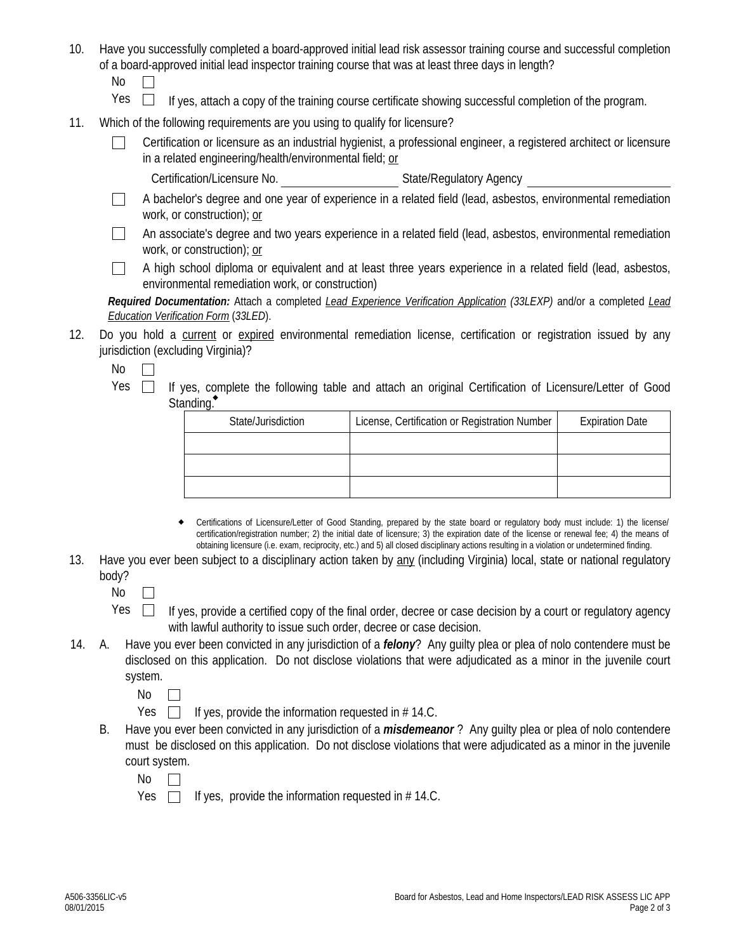- 10. Have you successfully completed a board-approved initial lead risk assessor training course and successful completion of a board-approved initial lead inspector training course that was at least three days in length?
	- No  $\Box$
	- $Yes \Box$  If yes, attach a copy of the training course certificate showing successful completion of the program.
- 11. Which of the following requirements are you using to qualify for licensure?
	- Certification or licensure as an industrial hygienist, a professional engineer, a registered architect or licensure in a related engineering/health/environmental field; or
		- Certification/Licensure No. State/Regulatory Agency
	- $\Box$ A bachelor's degree and one year of experience in a related field (lead, asbestos, environmental remediation work, or construction); or
	- $\Box$ An associate's degree and two years experience in a related field (lead, asbestos, environmental remediation work, or construction); or
	- A high school diploma or equivalent and at least three years experience in a related field (lead, asbestos,  $\Box$ environmental remediation work, or construction)

*Required Documentation:* Attach a completed *Lead Experience Verification Application (33LEXP)* and/or a completed *Lead Education Verification Form* (*33LED*).

12. Do you hold a current or expired environmental remediation license, certification or registration issued by any jurisdiction (excluding Virginia)?

No  $\Box$ 

Yes  $\Box$  If yes, complete the following table and attach an original Certification of Licensure/Letter of Good Standing.<sup>•</sup>

| State/Jurisdiction | License, Certification or Registration Number | <b>Expiration Date</b> |  |
|--------------------|-----------------------------------------------|------------------------|--|
|                    |                                               |                        |  |
|                    |                                               |                        |  |
|                    |                                               |                        |  |

- Certifications of Licensure/Letter of Good Standing, prepared by the state board or regulatory body must include: 1) the license/ certification/registration number; 2) the initial date of licensure; 3) the expiration date of the license or renewal fee; 4) the means of obtaining licensure (i.e. exam, reciprocity, etc.) and 5) all closed disciplinary actions resulting in a violation or undetermined finding.  $\bullet$
- 13. Have you ever been subject to a disciplinary action taken by any (including Virginia) local, state or national regulatory body?
	- No  $\Box$
	- $Yes \Box$  If yes, provide a certified copy of the final order, decree or case decision by a court or regulatory agency with lawful authority to issue such order, decree or case decision.
- 14. A. Have you ever been convicted in any jurisdiction of a *felony*? Any guilty plea or plea of nolo contendere must be disclosed on this application. Do not disclose violations that were adjudicated as a minor in the juvenile court system.

No  $\Box$ 

Yes  $\Box$  If yes, provide the information requested in # 14.C.

- B. Have you ever been convicted in any jurisdiction of a *misdemeanor* ? Any guilty plea or plea of nolo contendere must be disclosed on this application. Do not disclose violations that were adjudicated as a minor in the juvenile court system.
	- No  $\Box$
	- Yes  $\Box$  If yes, provide the information requested in # 14.C.